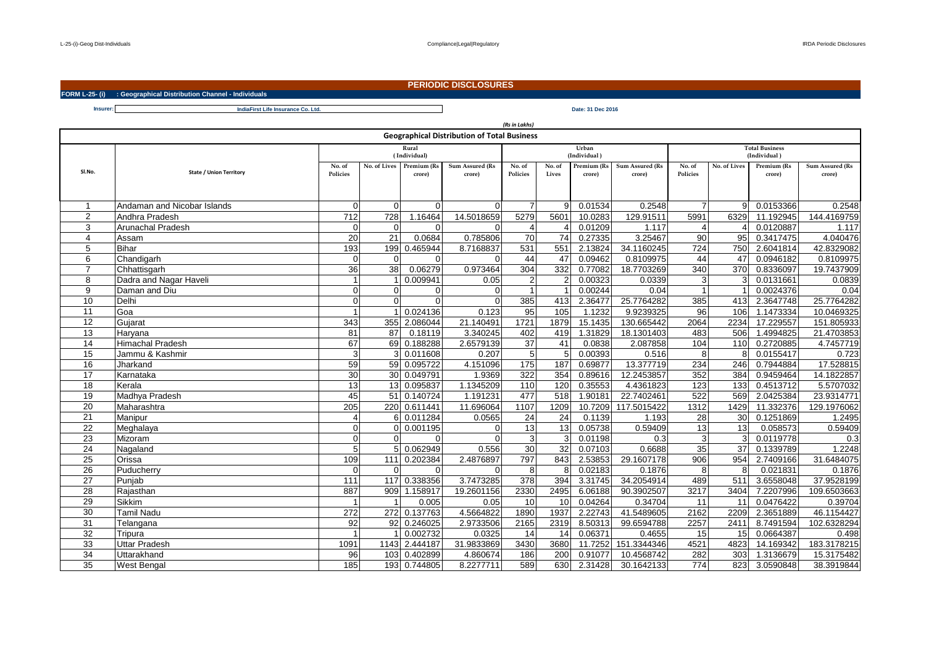## **PERIODIC DISCLOSURES**

**FORM L-25- (i) : Geographical Distribution Channel - Individuals**

**Insurer: Date: 31 Dec 2016 IndiaFirst Life Insurance Co. Ltd.**

| (Rs in Lakhs)                                      |                             |                    |                         |                       |                           |                    |                 |                       |                           |                       |              |                       |                           |  |
|----------------------------------------------------|-----------------------------|--------------------|-------------------------|-----------------------|---------------------------|--------------------|-----------------|-----------------------|---------------------------|-----------------------|--------------|-----------------------|---------------------------|--|
| <b>Geographical Distribution of Total Business</b> |                             |                    |                         |                       |                           |                    |                 |                       |                           |                       |              |                       |                           |  |
|                                                    |                             | Rural              |                         |                       |                           | Urban              |                 |                       |                           | <b>Total Business</b> |              |                       |                           |  |
|                                                    |                             | (Individual)       |                         |                       |                           |                    |                 | (Individual)          |                           | (Individual)          |              |                       |                           |  |
| SI.No.                                             | State / Union Territory     | No. of<br>Policies | No. of Lives            | Premium (Rs<br>crore) | Sum Assured (Rs<br>crore) | No. of<br>Policies | No. of<br>Lives | Premium (Rs<br>crore) | Sum Assured (Rs<br>crore) | No. of<br>Policies    | No. of Lives | Premium (Rs<br>crore) | Sum Assured (Rs<br>crore) |  |
|                                                    |                             |                    |                         |                       |                           |                    |                 |                       |                           |                       |              |                       |                           |  |
|                                                    |                             |                    |                         |                       |                           |                    |                 |                       |                           |                       |              |                       |                           |  |
| -1                                                 | Andaman and Nicobar Islands | $\Omega$           | $\Omega$                | $\Omega$              |                           |                    |                 | 0.01534               | 0.2548                    |                       |              | 0.0153366             | 0.2548                    |  |
| 2                                                  | Andhra Pradesh              | $\frac{1}{712}$    | 728                     | 1.16464               | 14.5018659                | 5279               | 5601            | 10.0283               | 129.91511                 | 5991                  | 6329         | 11.192945             | 144.4169759               |  |
| 3                                                  | <b>Arunachal Pradesh</b>    | $\Omega$           | $\Omega$                | $\Omega$              |                           |                    |                 | 0.01209               | 1.117                     | $\Delta$              |              | 0.0120887             | 1.117                     |  |
| $\overline{4}$                                     | Assam                       | 20                 | 21                      | 0.0684                | 0.785806                  | 70                 | $\overline{74}$ | 0.27335               | 3.25467                   | 90                    | 95           | 0.3417475             | 4.040476                  |  |
| 5                                                  | <b>Bihar</b>                | 193                | 199                     | 0.465944              | 8.7168837                 | 531                | 551             | 2.13824               | 34.1160245                | 724                   | 750          | 2.6041814             | 42.8329082                |  |
| 6                                                  | Chandigarh                  | $\overline{0}$     | $\Omega$                | $\overline{0}$        | $\Omega$                  | 44                 | 47              | 0.09462               | 0.8109975                 | 44                    | 47           | 0.0946182             | 0.8109975                 |  |
| $\overline{z}$                                     | Chhattisgarh                | 36                 | $\overline{38}$         | 0.06279               | 0.973464                  | 304                | 332             | 0.77082               | 18.7703269                | 340                   | 370          | 0.8336097             | 19.7437909                |  |
| 8                                                  | Dadra and Nagar Haveli      |                    |                         | 0.009941              | 0.05                      | $\overline{2}$     |                 | 0.00323               | 0.0339                    | 3                     |              | 0.0131661             | 0.0839                    |  |
| 9                                                  | Daman and Diu               | $\Omega$           | $\Omega$                | $\overline{0}$        | $\Omega$                  |                    |                 | 0.00244               | 0.04                      |                       |              | 0.0024376             | 0.04                      |  |
| 10                                                 | Delhi                       | $\overline{0}$     | $\Omega$                | $\overline{0}$        | $\Omega$                  | 385                | 413             | 2.36477               | 25.7764282                | 385                   | 413          | 2.3647748             | 25.7764282                |  |
| 11                                                 | Goa                         |                    |                         | 0.024136              | 0.123                     | 95                 | 105             | 1.1232                | 9.9239325                 | 96                    | 106          | 1.1473334             | 10.0469325                |  |
| 12                                                 | Gujarat                     | 343                | 355                     | 2.086044              | 21.140491                 | 1721               | 1879            | 15.1435               | 130.665442                | 2064                  | 2234         | 17.229557             | 151.805933                |  |
| 13                                                 | Haryana                     | 81                 | 87                      | 0.18119               | 3.340245                  | 402                | 419             | 1.31829               | 18.1301403                | 483                   | 506          | 1.4994825             | 21.4703853                |  |
| 14                                                 | <b>Himachal Pradesh</b>     | 67                 | 69                      | 0.188288              | 2.6579139                 | 37                 | 41              | 0.0838                | 2.087858                  | 104                   | 110          | 0.2720885             | 4.7457719                 |  |
| 15                                                 | Jammu & Kashmir             | 3                  | $\mathcal{B}$           | 0.011608              | 0.207                     | 5                  | $5\overline{5}$ | 0.00393               | 0.516                     | 8                     |              | 0.0155417             | 0.723                     |  |
| 16                                                 | Jharkand                    | 59                 |                         | 59 0.095722           | 4.151096                  | 175                | 187             | 0.69877               | 13.377719                 | 234                   | 246          | 0.7944884             | 17.528815                 |  |
| 17                                                 | Karnataka                   | 30                 |                         | 30 0.049791           | 1.9369                    | 322                | 354             | 0.89616               | 12.2453857                | 352                   | 384          | 0.9459464             | 14.1822857                |  |
| 18                                                 | Kerala                      | 13                 | 13                      | 0.095837              | 1.1345209                 | 110                | 120             | 0.35553               | 4.4361823                 | 123                   | 133          | 0.4513712             | 5.5707032                 |  |
| 19                                                 | Madhya Pradesh              | 45                 | 51                      | 0.140724              | 1.191231                  | 477                | 518             | 1.90181               | 22.7402461                | 522                   | 569          | 2.0425384             | 23.9314771                |  |
| $\overline{20}$                                    | Maharashtra                 | $\overline{205}$   |                         | 220 0.611441          | 11.696064                 | 1107               | 1209            | 10.7209               | 117.5015422               | 1312                  | 1429         | 11.332376             | 129.1976062               |  |
| 21                                                 | Manipur                     | 4                  |                         | 6 0.011284            | 0.0565                    | 24                 | 24              | 0.1139                | 1.193                     | 28                    | 30           | 0.1251869             | 1.2495                    |  |
| $\overline{22}$                                    | Meghalaya                   | $\Omega$           | $\Omega$                | 0.001195              | $\Omega$                  | 13                 | 13              | 0.05738               | 0.59409                   | 13                    | 13           | 0.058573              | 0.59409                   |  |
| $\overline{23}$                                    | Mizoram                     | $\Omega$           | $\Omega$                | $\Omega$              | $\Omega$                  | 3                  |                 | 0.01198               | 0.3                       | 3                     |              | 0.0119778             | 0.3                       |  |
| $\overline{24}$                                    | Nagaland                    | 5 <sup>1</sup>     | 5                       | 0.062949              | 0.556                     | 30                 | 32              | 0.07103               | 0.6688                    | 35                    | 37           | 0.1339789             | 1.2248                    |  |
| 25                                                 | Orissa                      | 109                | 111                     | 0.202384              | 2.4876897                 | 797                | 843             | 2.53853               | 29.1607178                | 906                   | 954          | 2.7409166             | 31.6484075                |  |
| 26                                                 | Puducherry                  | $\overline{0}$     | $\Omega$                | $\overline{0}$        | $\Omega$                  | 8                  | 8               | 0.02183               | 0.1876                    | 8                     |              | 0.021831              | 0.1876                    |  |
| $\overline{27}$                                    | Punjab                      | 111                | 117                     | 0.338356              | 3.7473285                 | 378                | 394             | 3.31745               | 34.2054914                | 489                   | 511          | 3.6558048             | 37.9528199                |  |
| 28                                                 | Raiasthan                   | 887                |                         | 909 1.158917          | 19.2601156                | 2330               | 2495            | 6.06188               | 90.3902507                | 3217                  | 3404         | 7.2207996             | 109.6503663               |  |
| 29                                                 | Sikkim                      |                    | $\overline{\mathbf{1}}$ | 0.005                 | 0.05                      | 10                 | 10              | 0.04264               | 0.34704                   | 11                    | 11           | 0.0476422             | 0.39704                   |  |
| 30                                                 | <b>Tamil Nadu</b>           | 272                |                         | 272 0.137763          | 4.5664822                 | 1890               | 1937            | 2.22743               | 41.5489605                | 2162                  | 2209         | 2.3651889             | 46.1154427                |  |
| 31                                                 | Telangana                   | 92                 | 92                      | 0.246025              | 2.9733506                 | 2165               | 2319            | 8.50313               | 99.6594788                | 2257                  | 2411         | 8.7491594             | 102.6328294               |  |
| 32                                                 | Tripura                     |                    |                         | 0.002732              | 0.0325                    | 14                 | 14              | 0.06371               | 0.4655                    | 15                    | 15           | 0.0664387             | 0.498                     |  |
| 33                                                 | <b>Uttar Pradesh</b>        | 1091               |                         | 1143 2.444187         | 31.9833869                | 3430               | 3680            | 11.7252               | 151.3344346               | 4521                  | 4823         | 14.169342             | 183.3178215               |  |
| 34                                                 | Uttarakhand                 | 96                 | 103                     | 0.402899              | 4.860674                  | 186                | 200             | 0.91077               | 10.4568742                | 282                   | 303          | 1.3136679             | 15.3175482                |  |
| 35                                                 | <b>West Bengal</b>          | 185                |                         | 193 0.744805          | 8.2277711                 | 589                | 630             | 2.31428               | 30.1642133                | 774                   | 823          | 3.0590848             | 38.3919844                |  |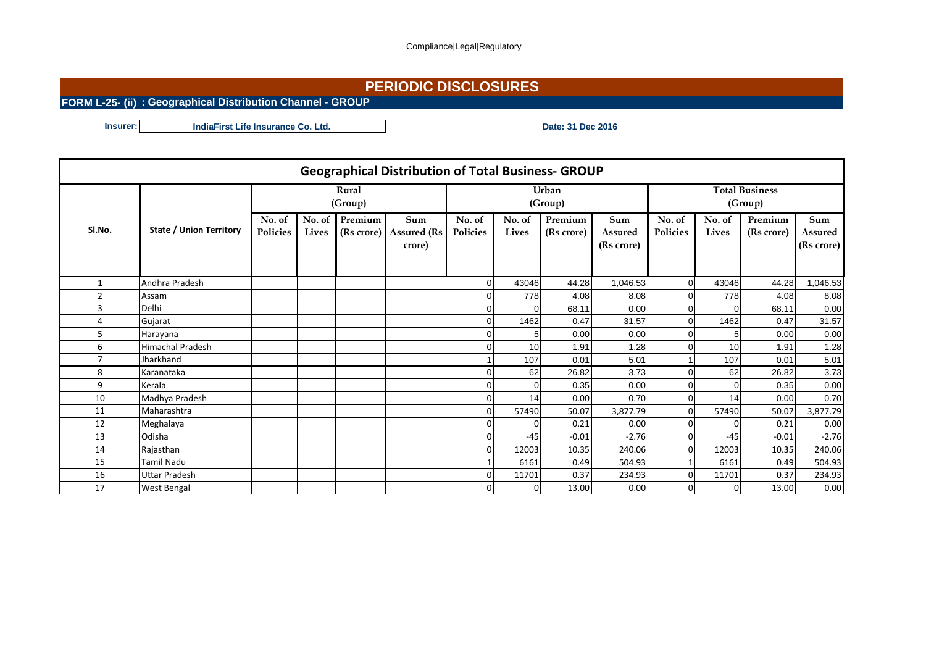## **PERIODIC DISCLOSURES**

**FORM L-25- (ii) : Geographical Distribution Channel - GROUP**

**Insurer: Date: 31 Dec 2016 IndiaFirst Life Insurance Co. Ltd.** 

|                | <b>Geographical Distribution of Total Business- GROUP</b> |                    |       |                              |                                      |                    |                 |                       |                                     |                                  |                 |                       |                              |
|----------------|-----------------------------------------------------------|--------------------|-------|------------------------------|--------------------------------------|--------------------|-----------------|-----------------------|-------------------------------------|----------------------------------|-----------------|-----------------------|------------------------------|
|                |                                                           | Rural<br>(Group)   |       |                              |                                      |                    |                 | Urban<br>(Group)      |                                     | <b>Total Business</b><br>(Group) |                 |                       |                              |
| SI.No.         | <b>State / Union Territory</b>                            | No. of<br>Policies | Lives | No. of Premium<br>(Rs crore) | Sum<br><b>Assured (Rs)</b><br>crore) | No. of<br>Policies | No. of<br>Lives | Premium<br>(Rs crore) | Sum<br><b>Assured</b><br>(Rs crore) | No. of<br>Policies               | No. of<br>Lives | Premium<br>(Rs crore) | Sum<br>Assured<br>(Rs crore) |
| $\mathbf{1}$   | Andhra Pradesh                                            |                    |       |                              |                                      | $\Omega$           | 43046           | 44.28                 | 1,046.53                            | $\overline{0}$                   | 43046           | 44.28                 | 1,046.53                     |
| $\overline{2}$ | Assam                                                     |                    |       |                              |                                      |                    | 778             | 4.08                  | 8.08                                | $\overline{0}$                   | 778             | 4.08                  | 8.08                         |
| 3              | Delhi                                                     |                    |       |                              |                                      |                    |                 | 68.11                 | 0.00                                | $\overline{0}$                   | $\Omega$        | 68.11                 | 0.00                         |
| 4              | Gujarat                                                   |                    |       |                              |                                      |                    | 1462            | 0.47                  | 31.57                               | $\overline{0}$                   | 1462            | 0.47                  | 31.57                        |
| 5              | Harayana                                                  |                    |       |                              |                                      |                    | 5               | 0.00                  | 0.00                                | $\overline{0}$                   | 5               | 0.00                  | 0.00                         |
| 6              | <b>Himachal Pradesh</b>                                   |                    |       |                              |                                      |                    | 10              | 1.91                  | 1.28                                | $\Omega$                         | 10              | 1.91                  | 1.28                         |
| $\overline{7}$ | Jharkhand                                                 |                    |       |                              |                                      |                    | 107             | 0.01                  | 5.01                                |                                  | 107             | 0.01                  | 5.01                         |
| 8              | Karanataka                                                |                    |       |                              |                                      |                    | 62              | 26.82                 | 3.73                                | $\Omega$                         | 62              | 26.82                 | 3.73                         |
| 9              | Kerala                                                    |                    |       |                              |                                      |                    | 0               | 0.35                  | 0.00                                | $\overline{0}$                   | 0               | 0.35                  | 0.00                         |
| 10             | Madhya Pradesh                                            |                    |       |                              |                                      |                    | 14              | 0.00                  | 0.70                                | $\overline{0}$                   | 14              | 0.00                  | 0.70                         |
| 11             | Maharashtra                                               |                    |       |                              |                                      |                    | 57490           | 50.07                 | 3,877.79                            | $\overline{0}$                   | 57490           | 50.07                 | 3,877.79                     |
| 12             | Meghalaya                                                 |                    |       |                              |                                      | n                  | $\Omega$        | 0.21                  | 0.00                                | $\overline{0}$                   | 0               | 0.21                  | 0.00                         |
| 13             | Odisha                                                    |                    |       |                              |                                      |                    | $-45$           | $-0.01$               | $-2.76$                             | $\overline{0}$                   | $-45$           | $-0.01$               | $-2.76$                      |
| 14             | Rajasthan                                                 |                    |       |                              |                                      | $\Omega$           | 12003           | 10.35                 | 240.06                              | $\overline{0}$                   | 12003           | 10.35                 | 240.06                       |
| 15             | Tamil Nadu                                                |                    |       |                              |                                      |                    | 6161            | 0.49                  | 504.93                              |                                  | 6161            | 0.49                  | 504.93                       |
| 16             | Uttar Pradesh                                             |                    |       |                              |                                      | ი                  | 11701           | 0.37                  | 234.93                              | $\overline{0}$                   | 11701           | 0.37                  | 234.93                       |
| 17             | West Bengal                                               |                    |       |                              |                                      | 0                  | $\overline{0}$  | 13.00                 | 0.00                                | $\overline{0}$                   | 0               | 13.00                 | 0.00                         |